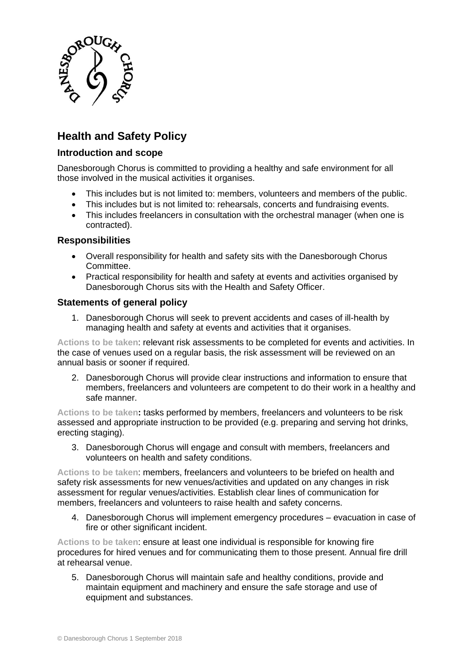

# **Health and Safety Policy**

# **Introduction and scope**

Danesborough Chorus is committed to providing a healthy and safe environment for all those involved in the musical activities it organises.

- This includes but is not limited to: members, volunteers and members of the public.
- This includes but is not limited to: rehearsals, concerts and fundraising events.
- This includes freelancers in consultation with the orchestral manager (when one is contracted).

# **Responsibilities**

- Overall responsibility for health and safety sits with the Danesborough Chorus Committee.
- Practical responsibility for health and safety at events and activities organised by Danesborough Chorus sits with the Health and Safety Officer.

# **Statements of general policy**

1. Danesborough Chorus will seek to prevent accidents and cases of ill-health by managing health and safety at events and activities that it organises.

**Actions to be taken**: relevant risk assessments to be completed for events and activities. In the case of venues used on a regular basis, the risk assessment will be reviewed on an annual basis or sooner if required.

2. Danesborough Chorus will provide clear instructions and information to ensure that members, freelancers and volunteers are competent to do their work in a healthy and safe manner.

**Actions to be taken:** tasks performed by members, freelancers and volunteers to be risk assessed and appropriate instruction to be provided (e.g. preparing and serving hot drinks, erecting staging).

3. Danesborough Chorus will engage and consult with members, freelancers and volunteers on health and safety conditions.

**Actions to be taken**: members, freelancers and volunteers to be briefed on health and safety risk assessments for new venues/activities and updated on any changes in risk assessment for regular venues/activities. Establish clear lines of communication for members, freelancers and volunteers to raise health and safety concerns.

4. Danesborough Chorus will implement emergency procedures – evacuation in case of fire or other significant incident.

**Actions to be taken**: ensure at least one individual is responsible for knowing fire procedures for hired venues and for communicating them to those present. Annual fire drill at rehearsal venue.

5. Danesborough Chorus will maintain safe and healthy conditions, provide and maintain equipment and machinery and ensure the safe storage and use of equipment and substances.